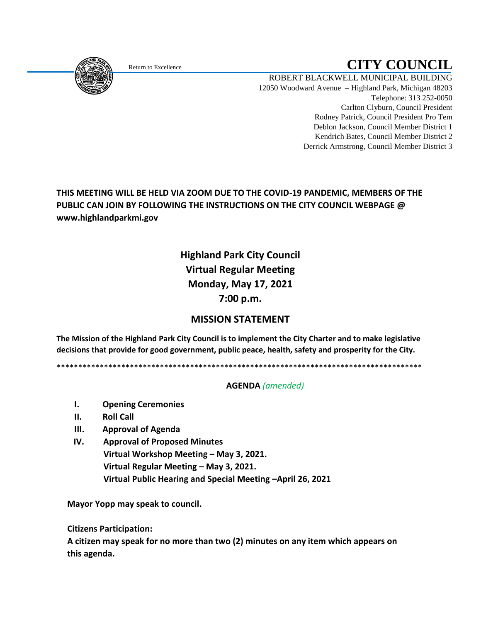

# Return to Excellence **CITY COUNCIL**

ROBERT BLACKWELL MUNICIPAL BUILDING 12050 Woodward Avenue – Highland Park, Michigan 48203 Telephone: 313 252-0050 Carlton Clyburn, Council President Rodney Patrick, Council President Pro Tem Deblon Jackson, Council Member District 1 Kendrich Bates, Council Member District 2 Derrick Armstrong, Council Member District 3

### **THIS MEETING WILL BE HELD VIA ZOOM DUE TO THE COVID-19 PANDEMIC, MEMBERS OF THE PUBLIC CAN JOIN BY FOLLOWING THE INSTRUCTIONS ON THE CITY COUNCIL WEBPAGE @ www.highlandparkmi.gov**

# **Highland Park City Council Virtual Regular Meeting Monday, May 17, 2021 7:00 p.m.**

## **MISSION STATEMENT**

**The Mission of the Highland Park City Council is to implement the City Charter and to make legislative decisions that provide for good government, public peace, health, safety and prosperity for the City.**

\*\*\*\*\*\*\*\*\*\*\*\*\*\*\*\*\*\*\*\*\*\*\*\*\*\*\*\*\*\*\*\*\*\*\*\*\*\*\*\*\*\*\*\*\*\*\*\*\*\*\*\*\*\*\*\*\*\*\*\*\*\*\*\*\*\*\*\*\*\*\*\*\*\*\*\*\*\*\*\*\*\*\*\*\*

#### **AGENDA** *(amended)*

- **I. Opening Ceremonies**
- **II. Roll Call**
- **III. Approval of Agenda**
- **IV. Approval of Proposed Minutes Virtual Workshop Meeting – May 3, 2021. Virtual Regular Meeting – May 3, 2021. Virtual Public Hearing and Special Meeting –April 26, 2021**

**Mayor Yopp may speak to council.** 

 **Citizens Participation:**

 **A citizen may speak for no more than two (2) minutes on any item which appears on this agenda.**